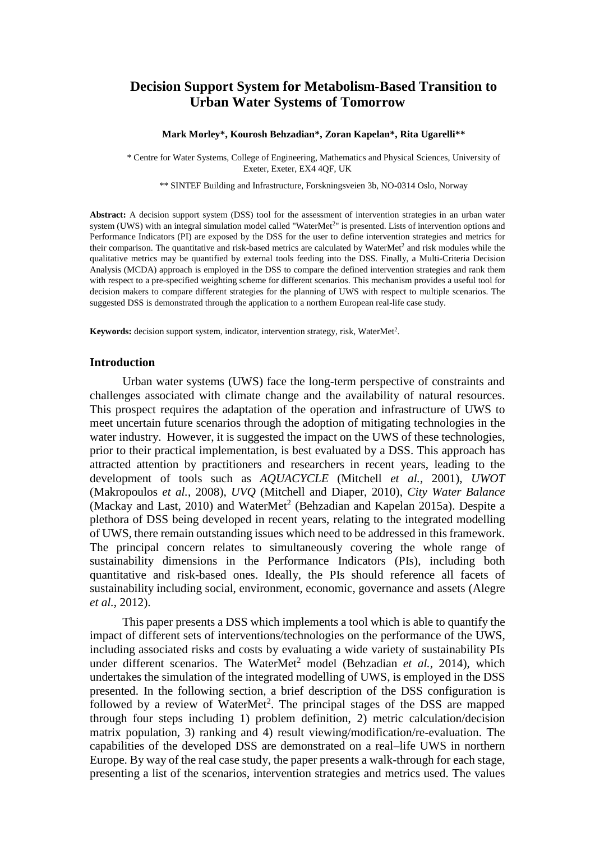# **Decision Support System for Metabolism-Based Transition to Urban Water Systems of Tomorrow**

#### **Mark Morley\*, Kourosh Behzadian\*, Zoran Kapelan\*, Rita Ugarelli\*\***

\* Centre for Water Systems, College of Engineering, Mathematics and Physical Sciences, University of Exeter, Exeter, EX4 4QF, UK

\*\* SINTEF Building and Infrastructure, Forskningsveien 3b, NO-0314 Oslo, Norway

**Abstract:** A decision support system (DSS) tool for the assessment of intervention strategies in an urban water system (UWS) with an integral simulation model called "WaterMet<sup>2</sup>" is presented. Lists of intervention options and Performance Indicators (PI) are exposed by the DSS for the user to define intervention strategies and metrics for their comparison. The quantitative and risk-based metrics are calculated by WaterMet<sup>2</sup> and risk modules while the qualitative metrics may be quantified by external tools feeding into the DSS. Finally, a Multi-Criteria Decision Analysis (MCDA) approach is employed in the DSS to compare the defined intervention strategies and rank them with respect to a pre-specified weighting scheme for different scenarios. This mechanism provides a useful tool for decision makers to compare different strategies for the planning of UWS with respect to multiple scenarios. The suggested DSS is demonstrated through the application to a northern European real-life case study.

Keywords: decision support system, indicator, intervention strategy, risk, WaterMet<sup>2</sup>.

#### **Introduction**

Urban water systems (UWS) face the long-term perspective of constraints and challenges associated with climate change and the availability of natural resources. This prospect requires the adaptation of the operation and infrastructure of UWS to meet uncertain future scenarios through the adoption of mitigating technologies in the water industry. However, it is suggested the impact on the UWS of these technologies, prior to their practical implementation, is best evaluated by a DSS. This approach has attracted attention by practitioners and researchers in recent years, leading to the development of tools such as *AQUACYCLE* (Mitchell *et al.*, 2001), *UWOT* (Makropoulos *et al.*, 2008), *UVQ* (Mitchell and Diaper, 2010), *City Water Balance* (Mackay and Last, 2010) and WaterMet<sup>2</sup> (Behzadian and Kapelan 2015a). Despite a plethora of DSS being developed in recent years, relating to the integrated modelling of UWS, there remain outstanding issues which need to be addressed in this framework. The principal concern relates to simultaneously covering the whole range of sustainability dimensions in the Performance Indicators (PIs), including both quantitative and risk-based ones. Ideally, the PIs should reference all facets of sustainability including social, environment, economic, governance and assets (Alegre *et al.*, 2012).

This paper presents a DSS which implements a tool which is able to quantify the impact of different sets of interventions/technologies on the performance of the UWS, including associated risks and costs by evaluating a wide variety of sustainability PIs under different scenarios. The WaterMet<sup>2</sup> model (Behzadian *et al.*, 2014), which undertakes the simulation of the integrated modelling of UWS, is employed in the DSS presented. In the following section, a brief description of the DSS configuration is followed by a review of WaterMet<sup>2</sup>. The principal stages of the DSS are mapped through four steps including 1) problem definition, 2) metric calculation/decision matrix population, 3) ranking and 4) result viewing/modification/re-evaluation. The capabilities of the developed DSS are demonstrated on a real–life UWS in northern Europe. By way of the real case study, the paper presents a walk-through for each stage, presenting a list of the scenarios, intervention strategies and metrics used. The values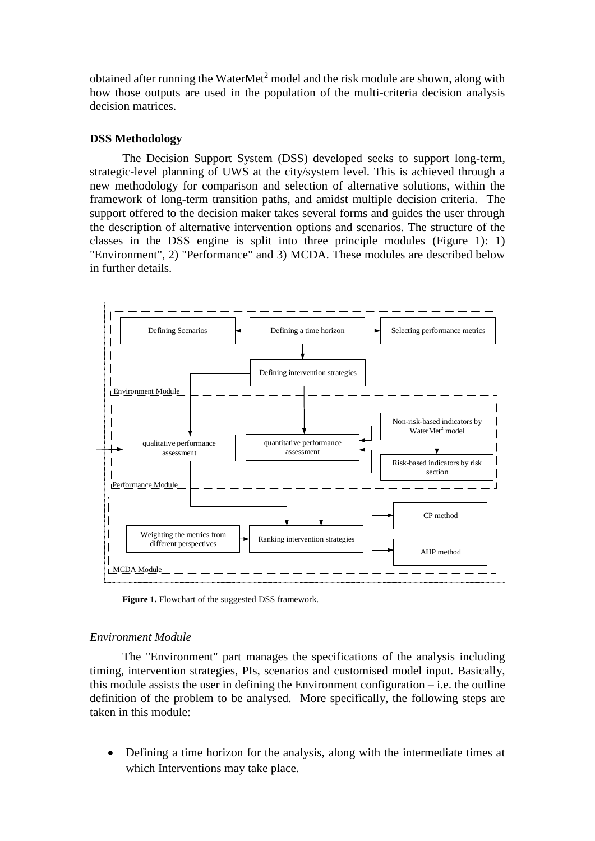obtained after running the WaterMet<sup>2</sup> model and the risk module are shown, along with how those outputs are used in the population of the multi-criteria decision analysis decision matrices.

# **DSS Methodology**

The Decision Support System (DSS) developed seeks to support long-term, strategic-level planning of UWS at the city/system level. This is achieved through a new methodology for comparison and selection of alternative solutions, within the framework of long-term transition paths, and amidst multiple decision criteria. The support offered to the decision maker takes several forms and guides the user through the description of alternative intervention options and scenarios. The structure of the classes in the DSS engine is split into three principle modules (Figure 1): 1) "Environment", 2) "Performance" and 3) MCDA. These modules are described below in further details.



Figure 1. Flowchart of the suggested DSS framework.

# *Environment Module*

The "Environment" part manages the specifications of the analysis including timing, intervention strategies, PIs, scenarios and customised model input. Basically, this module assists the user in defining the Environment configuration  $-$  i.e. the outline definition of the problem to be analysed. More specifically, the following steps are taken in this module:

 Defining a time horizon for the analysis, along with the intermediate times at which Interventions may take place.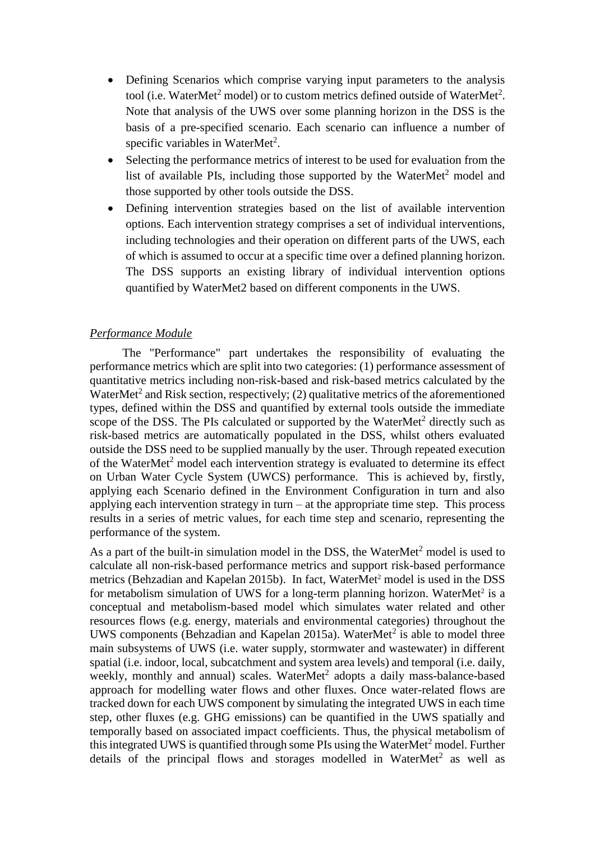- Defining Scenarios which comprise varying input parameters to the analysis tool (i.e. WaterMet<sup>2</sup> model) or to custom metrics defined outside of WaterMet<sup>2</sup>. Note that analysis of the UWS over some planning horizon in the DSS is the basis of a pre-specified scenario. Each scenario can influence a number of specific variables in WaterMet<sup>2</sup>.
- Selecting the performance metrics of interest to be used for evaluation from the list of available PIs, including those supported by the WaterMet<sup>2</sup> model and those supported by other tools outside the DSS.
- Defining intervention strategies based on the list of available intervention options. Each intervention strategy comprises a set of individual interventions, including technologies and their operation on different parts of the UWS, each of which is assumed to occur at a specific time over a defined planning horizon. The DSS supports an existing library of individual intervention options quantified by WaterMet2 based on different components in the UWS.

# *Performance Module*

The "Performance" part undertakes the responsibility of evaluating the performance metrics which are split into two categories: (1) performance assessment of quantitative metrics including non-risk-based and risk-based metrics calculated by the WaterMet<sup>2</sup> and Risk section, respectively;  $(2)$  qualitative metrics of the aforementioned types, defined within the DSS and quantified by external tools outside the immediate scope of the DSS. The PIs calculated or supported by the WaterMet<sup>2</sup> directly such as risk-based metrics are automatically populated in the DSS, whilst others evaluated outside the DSS need to be supplied manually by the user. Through repeated execution of the WaterMet<sup>2</sup> model each intervention strategy is evaluated to determine its effect on Urban Water Cycle System (UWCS) performance. This is achieved by, firstly, applying each Scenario defined in the Environment Configuration in turn and also applying each intervention strategy in turn  $-$  at the appropriate time step. This process results in a series of metric values, for each time step and scenario, representing the performance of the system.

As a part of the built-in simulation model in the DSS, the WaterMet<sup>2</sup> model is used to calculate all non-risk-based performance metrics and support risk-based performance metrics (Behzadian and Kapelan 2015b). In fact, WaterMet<sup>2</sup> model is used in the DSS for metabolism simulation of UWS for a long-term planning horizon. WaterMet<sup>2</sup> is a conceptual and metabolism-based model which simulates water related and other resources flows (e.g. energy, materials and environmental categories) throughout the UWS components (Behzadian and Kapelan 2015a). WaterMet<sup>2</sup> is able to model three main subsystems of UWS (i.e. water supply, stormwater and wastewater) in different spatial (i.e. indoor, local, subcatchment and system area levels) and temporal (i.e. daily, weekly, monthly and annual) scales. WaterMet<sup>2</sup> adopts a daily mass-balance-based approach for modelling water flows and other fluxes. Once water-related flows are tracked down for each UWS component by simulating the integrated UWS in each time step, other fluxes (e.g. GHG emissions) can be quantified in the UWS spatially and temporally based on associated impact coefficients. Thus, the physical metabolism of this integrated UWS is quantified through some PIs using the WaterMet<sup>2</sup> model. Further details of the principal flows and storages modelled in WaterMet<sup>2</sup> as well as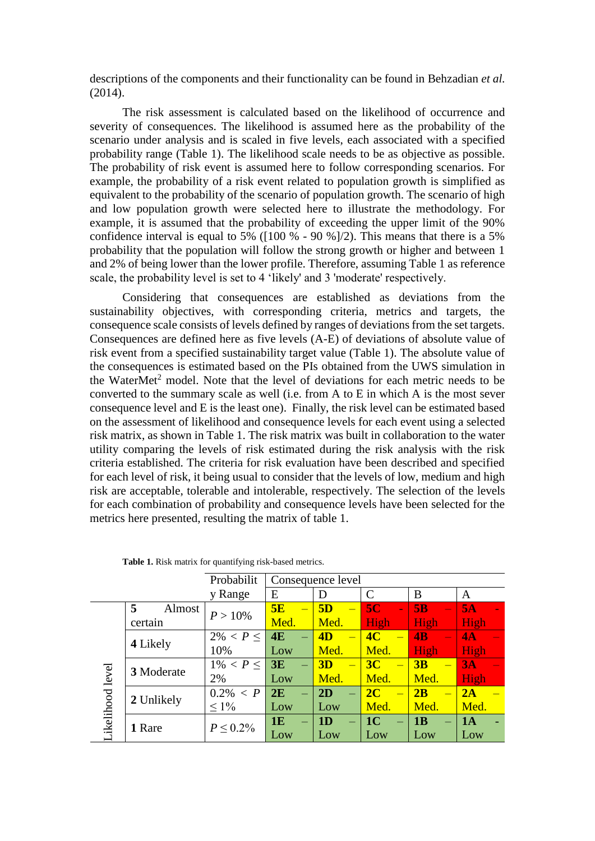descriptions of the components and their functionality can be found in Behzadian *et al.*  (2014).

The risk assessment is calculated based on the likelihood of occurrence and severity of consequences. The likelihood is assumed here as the probability of the scenario under analysis and is scaled in five levels, each associated with a specified probability range (Table 1). The likelihood scale needs to be as objective as possible. The probability of risk event is assumed here to follow corresponding scenarios. For example, the probability of a risk event related to population growth is simplified as equivalent to the probability of the scenario of population growth. The scenario of high and low population growth were selected here to illustrate the methodology. For example, it is assumed that the probability of exceeding the upper limit of the 90% confidence interval is equal to 5% ( $[100\% - 90\%]/2$ ). This means that there is a 5% probability that the population will follow the strong growth or higher and between 1 and 2% of being lower than the lower profile. Therefore, assuming Table 1 as reference scale, the probability level is set to 4 'likely' and 3 'moderate' respectively.

Considering that consequences are established as deviations from the sustainability objectives, with corresponding criteria, metrics and targets, the consequence scale consists of levels defined by ranges of deviations from the set targets. Consequences are defined here as five levels (A-E) of deviations of absolute value of risk event from a specified sustainability target value (Table 1). The absolute value of the consequences is estimated based on the PIs obtained from the UWS simulation in the WaterMet<sup>2</sup> model. Note that the level of deviations for each metric needs to be converted to the summary scale as well (i.e. from A to E in which A is the most sever consequence level and E is the least one). Finally, the risk level can be estimated based on the assessment of likelihood and consequence levels for each event using a selected risk matrix, as shown in Table 1. The risk matrix was built in collaboration to the water utility comparing the levels of risk estimated during the risk analysis with the risk criteria established. The criteria for risk evaluation have been described and specified for each level of risk, it being usual to consider that the levels of low, medium and high risk are acceptable, tolerable and intolerable, respectively. The selection of the levels for each combination of probability and consequence levels have been selected for the metrics here presented, resulting the matrix of table 1.

|                  |             | Probabilit     | Consequence level |                |                                            |                                |      |  |  |  |  |  |
|------------------|-------------|----------------|-------------------|----------------|--------------------------------------------|--------------------------------|------|--|--|--|--|--|
|                  |             | y Range        | E                 | D              | $\mathcal{C}$                              | B                              | A    |  |  |  |  |  |
|                  | 5<br>Almost | $P > 10\%$     | 5E<br>$\equiv$    | 5D<br>$\equiv$ | 5 <sub>C</sub><br>$\overline{\phantom{a}}$ | 5B<br>$\overline{\phantom{0}}$ | 5A   |  |  |  |  |  |
|                  | certain     |                | Med.              | Med.           | High                                       | High                           | High |  |  |  |  |  |
| Likelihood level |             | $2\% < P <$    | 4E                | 4D             | 4 <sub>C</sub>                             | $\overline{AB}$                | 4A   |  |  |  |  |  |
|                  | 4 Likely    | 10%            | Low               | Med.           | Med.                                       | High                           | High |  |  |  |  |  |
|                  | 3 Moderate  | $1\% < P \leq$ | 3E                | 3D             | 3 <sub>C</sub>                             | 3B                             | 3A   |  |  |  |  |  |
|                  |             | 2%             | Low               | Med.           | Med.                                       | Med.                           | High |  |  |  |  |  |
|                  | 2 Unlikely  | $0.2\% < P$    | 2E                | 2D             | 2C                                         | 2B                             | 2A   |  |  |  |  |  |
|                  |             | $\leq 1\%$     | Low               | Low            | Med.                                       | Med.                           | Med. |  |  |  |  |  |
|                  |             |                | 1E<br>÷           | 1 <sub>D</sub> | 1 <sup>C</sup>                             | 1B<br>$\equiv$                 | 1A   |  |  |  |  |  |
|                  | 1 Rare      | $P \le 0.2\%$  | Low               | Low            | Low                                        | Low                            | Low  |  |  |  |  |  |

**Table 1.** Risk matrix for quantifying risk-based metrics.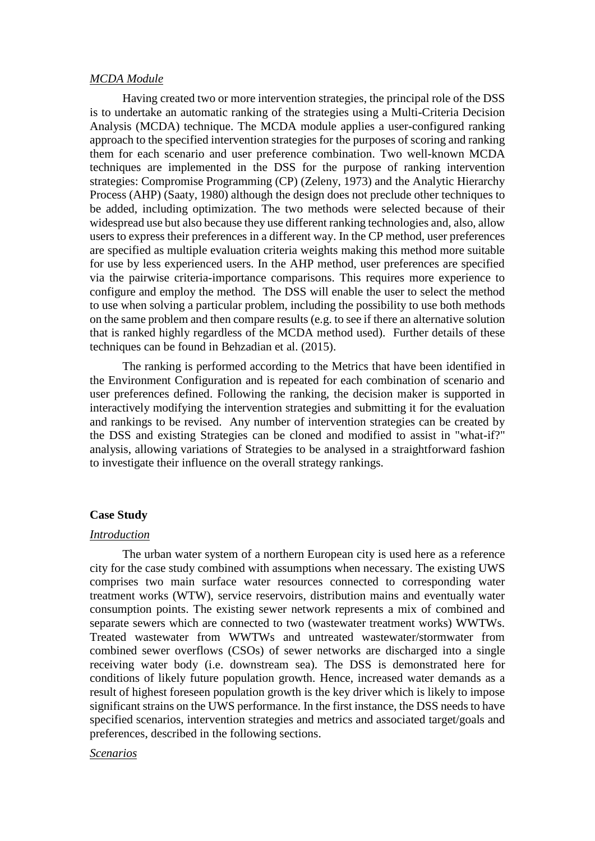#### *MCDA Module*

Having created two or more intervention strategies, the principal role of the DSS is to undertake an automatic ranking of the strategies using a Multi-Criteria Decision Analysis (MCDA) technique. The MCDA module applies a user-configured ranking approach to the specified intervention strategies for the purposes of scoring and ranking them for each scenario and user preference combination. Two well-known MCDA techniques are implemented in the DSS for the purpose of ranking intervention strategies: Compromise Programming (CP) (Zeleny, 1973) and the Analytic Hierarchy Process (AHP) (Saaty, 1980) although the design does not preclude other techniques to be added, including optimization. The two methods were selected because of their widespread use but also because they use different ranking technologies and, also, allow users to express their preferences in a different way. In the CP method, user preferences are specified as multiple evaluation criteria weights making this method more suitable for use by less experienced users. In the AHP method, user preferences are specified via the pairwise criteria-importance comparisons. This requires more experience to configure and employ the method. The DSS will enable the user to select the method to use when solving a particular problem, including the possibility to use both methods on the same problem and then compare results (e.g. to see if there an alternative solution that is ranked highly regardless of the MCDA method used). Further details of these techniques can be found in Behzadian et al. (2015).

The ranking is performed according to the Metrics that have been identified in the Environment Configuration and is repeated for each combination of scenario and user preferences defined. Following the ranking, the decision maker is supported in interactively modifying the intervention strategies and submitting it for the evaluation and rankings to be revised. Any number of intervention strategies can be created by the DSS and existing Strategies can be cloned and modified to assist in "what-if?" analysis, allowing variations of Strategies to be analysed in a straightforward fashion to investigate their influence on the overall strategy rankings.

# **Case Study**

#### *Introduction*

The urban water system of a northern European city is used here as a reference city for the case study combined with assumptions when necessary. The existing UWS comprises two main surface water resources connected to corresponding water treatment works (WTW), service reservoirs, distribution mains and eventually water consumption points. The existing sewer network represents a mix of combined and separate sewers which are connected to two (wastewater treatment works) WWTWs. Treated wastewater from WWTWs and untreated wastewater/stormwater from combined sewer overflows (CSOs) of sewer networks are discharged into a single receiving water body (i.e. downstream sea). The DSS is demonstrated here for conditions of likely future population growth. Hence, increased water demands as a result of highest foreseen population growth is the key driver which is likely to impose significant strains on the UWS performance. In the first instance, the DSS needs to have specified scenarios, intervention strategies and metrics and associated target/goals and preferences, described in the following sections.

# *Scenarios*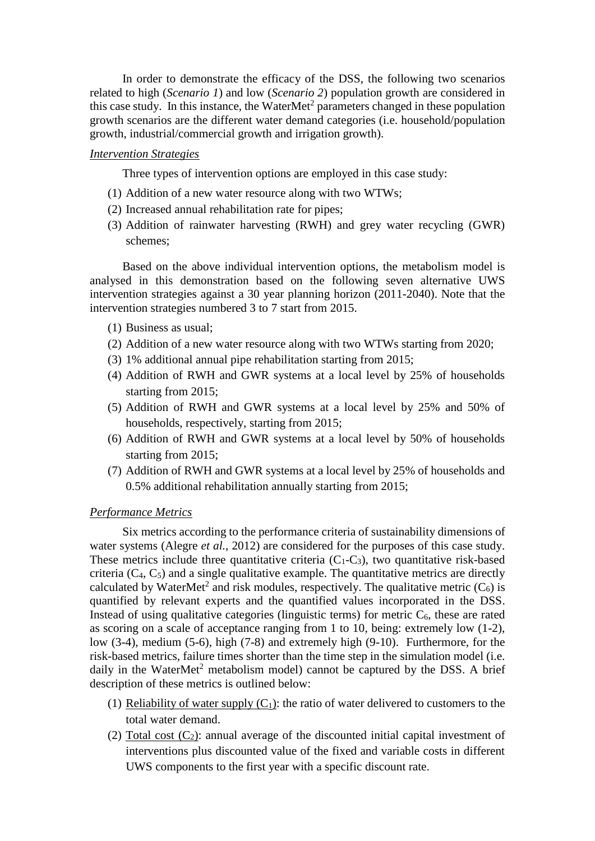In order to demonstrate the efficacy of the DSS, the following two scenarios related to high (*Scenario 1*) and low (*Scenario 2*) population growth are considered in this case study. In this instance, the WaterMet<sup>2</sup> parameters changed in these population growth scenarios are the different water demand categories (i.e. household/population growth, industrial/commercial growth and irrigation growth).

# *Intervention Strategies*

Three types of intervention options are employed in this case study:

- (1) Addition of a new water resource along with two WTWs;
- (2) Increased annual rehabilitation rate for pipes;
- (3) Addition of rainwater harvesting (RWH) and grey water recycling (GWR) schemes;

Based on the above individual intervention options, the metabolism model is analysed in this demonstration based on the following seven alternative UWS intervention strategies against a 30 year planning horizon (2011-2040). Note that the intervention strategies numbered 3 to 7 start from 2015.

- (1) Business as usual;
- (2) Addition of a new water resource along with two WTWs starting from 2020;
- (3) 1% additional annual pipe rehabilitation starting from 2015;
- (4) Addition of RWH and GWR systems at a local level by 25% of households starting from 2015;
- (5) Addition of RWH and GWR systems at a local level by 25% and 50% of households, respectively, starting from 2015;
- (6) Addition of RWH and GWR systems at a local level by 50% of households starting from 2015;
- (7) Addition of RWH and GWR systems at a local level by 25% of households and 0.5% additional rehabilitation annually starting from 2015;

#### *Performance Metrics*

Six metrics according to the performance criteria of sustainability dimensions of water systems (Alegre *et al.*, 2012) are considered for the purposes of this case study. These metrics include three quantitative criteria  $(C_1-C_3)$ , two quantitative risk-based criteria  $(C_4, C_5)$  and a single qualitative example. The quantitative metrics are directly calculated by WaterMet<sup>2</sup> and risk modules, respectively. The qualitative metric  $(C_6)$  is quantified by relevant experts and the quantified values incorporated in the DSS. Instead of using qualitative categories (linguistic terms) for metric  $C_6$ , these are rated as scoring on a scale of acceptance ranging from 1 to 10, being: extremely low (1-2), low (3-4), medium (5-6), high (7-8) and extremely high (9-10). Furthermore, for the risk-based metrics, failure times shorter than the time step in the simulation model (i.e. daily in the WaterMet<sup>2</sup> metabolism model) cannot be captured by the DSS. A brief description of these metrics is outlined below:

- (1) Reliability of water supply  $(C_1)$ : the ratio of water delivered to customers to the total water demand.
- (2) Total cost  $(C_2)$ : annual average of the discounted initial capital investment of interventions plus discounted value of the fixed and variable costs in different UWS components to the first year with a specific discount rate.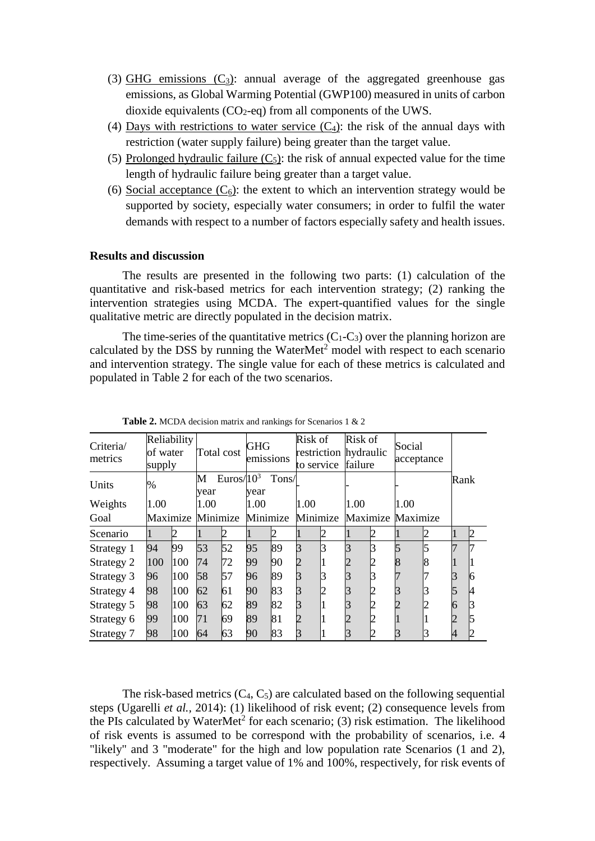- (3) GHG emissions  $(C_3)$ : annual average of the aggregated greenhouse gas emissions, as Global Warming Potential (GWP100) measured in units of carbon dioxide equivalents (CO2-eq) from all components of the UWS.
- (4) Days with restrictions to water service  $(C_4)$ : the risk of the annual days with restriction (water supply failure) being greater than the target value.
- (5) Prolonged hydraulic failure  $(C_5)$ : the risk of annual expected value for the time length of hydraulic failure being greater than a target value.
- (6) Social acceptance  $(C_6)$ : the extent to which an intervention strategy would be supported by society, especially water consumers; in order to fulfil the water demands with respect to a number of factors especially safety and health issues.

# **Results and discussion**

The results are presented in the following two parts: (1) calculation of the quantitative and risk-based metrics for each intervention strategy; (2) ranking the intervention strategies using MCDA. The expert-quantified values for the single qualitative metric are directly populated in the decision matrix.

The time-series of the quantitative metrics  $(C_1-C_3)$  over the planning horizon are calculated by the DSS by running the WaterMet<sup>2</sup> model with respect to each scenario and intervention strategy. The single value for each of these metrics is calculated and populated in Table 2 for each of the two scenarios.

| Reliability<br>Criteria/<br>of water<br>metrics<br>supply |      | Total cost |                            | GHG<br>emissions |                                     | Risk of<br>restriction hydraulic<br>to service |      | Risk of<br>failure |      | Social<br>acceptance |      |  |      |    |
|-----------------------------------------------------------|------|------------|----------------------------|------------------|-------------------------------------|------------------------------------------------|------|--------------------|------|----------------------|------|--|------|----|
| Units                                                     | $\%$ |            | Euros/ $10^3$<br>M<br>year |                  | Tons/<br>vear                       |                                                |      |                    |      |                      |      |  | Rank |    |
| 1.00<br>Weights                                           |      | 1.00       |                            | 1.00             |                                     |                                                | 1.00 |                    | 1.00 |                      | 1.00 |  |      |    |
| Goal                                                      |      |            | Maximize Minimize          |                  | Minimize Minimize Maximize Maximize |                                                |      |                    |      |                      |      |  |      |    |
| Scenario                                                  |      |            |                            |                  |                                     |                                                |      |                    |      |                      |      |  |      | 2  |
| Strategy 1                                                | 94   | 99         | 53                         | 52               | 95                                  | 89                                             |      |                    |      |                      |      |  |      |    |
| Strategy 2                                                | 100  | 100        | 74                         | 72               | 99                                  | 90                                             |      |                    |      |                      |      |  |      |    |
| Strategy 3                                                | 96   | 100        | 58                         | 57               | 96                                  | 89                                             |      |                    |      |                      |      |  |      | ľб |
| Strategy 4                                                | 98   | 100        | 62                         | 61               | 90                                  | 83                                             |      |                    |      |                      |      |  |      |    |
| Strategy 5                                                | 98   | 100        | 63                         | 62               | 89                                  | 82                                             |      |                    |      |                      |      |  |      |    |
| Strategy 6                                                | 99   | 100        | 71                         | 69               | 89                                  | 81                                             |      |                    |      |                      |      |  |      |    |
| Strategy 7                                                | 98   | 100        | 64                         | 63               | 90                                  | 83                                             |      |                    |      |                      |      |  |      |    |

**Table 2.** MCDA decision matrix and rankings for Scenarios 1 & 2

The risk-based metrics  $(C_4, C_5)$  are calculated based on the following sequential steps (Ugarelli *et al.,* 2014): (1) likelihood of risk event; (2) consequence levels from the PIs calculated by WaterMet<sup>2</sup> for each scenario; (3) risk estimation. The likelihood of risk events is assumed to be correspond with the probability of scenarios, i.e. 4 "likely" and 3 "moderate" for the high and low population rate Scenarios (1 and 2), respectively. Assuming a target value of 1% and 100%, respectively, for risk events of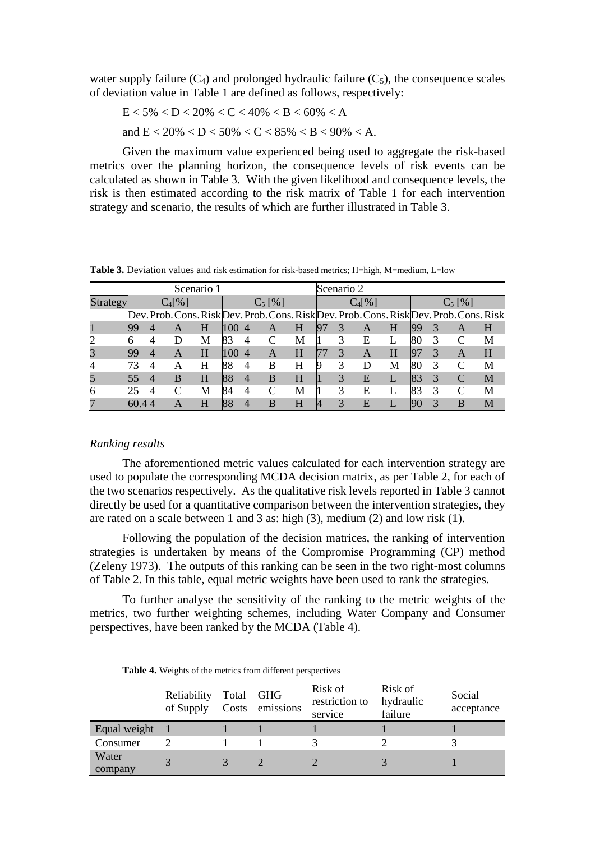water supply failure  $(C_4)$  and prolonged hydraulic failure  $(C_5)$ , the consequence scales of deviation value in Table 1 are defined as follows, respectively:

$$
E < 5\% < D < 20\% < C < 40\% < B < 60\% < A
$$

and  $E < 20\% < D < 50\% < C < 85\% < B < 90\% < A$ .

Given the maximum value experienced being used to aggregate the risk-based metrics over the planning horizon, the consequence levels of risk events can be calculated as shown in Table 3. With the given likelihood and consequence levels, the risk is then estimated according to the risk matrix of Table 1 for each intervention strategy and scenario, the results of which are further illustrated in Table 3.

**Table 3.** Deviation values and risk estimation for risk-based metrics; H=high, M=medium, L=low

| Scenario 1           |       |                |                                                                                         |   |                  |                |   |   | Scenario 2 |              |   |           |     |   |   |   |
|----------------------|-------|----------------|-----------------------------------------------------------------------------------------|---|------------------|----------------|---|---|------------|--------------|---|-----------|-----|---|---|---|
| $C_4[%]$<br>Strategy |       |                |                                                                                         |   | $C_5$ [%]        |                |   |   |            | $C_4$ [%]    |   | $C_5$ [%] |     |   |   |   |
|                      |       |                | Dev. Prob. Cons. Risk Dev. Prob. Cons. Risk Dev. Prob. Cons. Risk Dev. Prob. Cons. Risk |   |                  |                |   |   |            |              |   |           |     |   |   |   |
|                      | 99    |                | A                                                                                       | H | 100 <sup>°</sup> | $\overline{4}$ | A | H | 97         | 3            | A | H         | 199 | 3 | A | H |
| 2                    | 6     |                |                                                                                         | M | 83               | $\overline{4}$ |   | M |            | 3            | Е |           | 80  | 3 |   | M |
| 3                    | 99    |                | A                                                                                       | H | 100              | $\overline{4}$ | A | H |            | 3            | A | H         | 197 | 3 | A | H |
| $\overline{4}$       | 73    | $\overline{4}$ | А                                                                                       | H | 88               | 4              | B | H |            | 3            | D | М         | 80  | 3 |   | M |
| 5                    | 55    | 4              | B                                                                                       | H | 88               | 4              | B | H |            | 3            | E |           | 83  | 3 |   | M |
| 6                    | 25    | 4              |                                                                                         | M | 84               | 4              |   | М |            | 3            | E |           | 83  | 3 |   | M |
| 7                    | 60.44 |                |                                                                                         | H | 88               | 4              | B | Н |            | $\mathbf{3}$ | E |           |     | 3 | B | M |

#### *Ranking results*

The aforementioned metric values calculated for each intervention strategy are used to populate the corresponding MCDA decision matrix, as per Table 2, for each of the two scenarios respectively. As the qualitative risk levels reported in Table 3 cannot directly be used for a quantitative comparison between the intervention strategies, they are rated on a scale between 1 and 3 as: high (3), medium (2) and low risk (1).

Following the population of the decision matrices, the ranking of intervention strategies is undertaken by means of the Compromise Programming (CP) method (Zeleny 1973). The outputs of this ranking can be seen in the two right-most columns of Table 2. In this table, equal metric weights have been used to rank the strategies.

To further analyse the sensitivity of the ranking to the metric weights of the metrics, two further weighting schemes, including Water Company and Consumer perspectives, have been ranked by the MCDA (Table 4).

|                  | Reliability<br>of Supply | Total<br>Costs | <b>GHG</b><br>emissions | Risk of<br>restriction to<br>service | Risk of<br>hydraulic<br>failure | Social<br>acceptance |
|------------------|--------------------------|----------------|-------------------------|--------------------------------------|---------------------------------|----------------------|
| Equal weight     |                          |                |                         |                                      |                                 |                      |
| Consumer         |                          |                |                         |                                      |                                 |                      |
| Water<br>company |                          |                |                         |                                      |                                 |                      |

**Table 4.** Weights of the metrics from different perspectives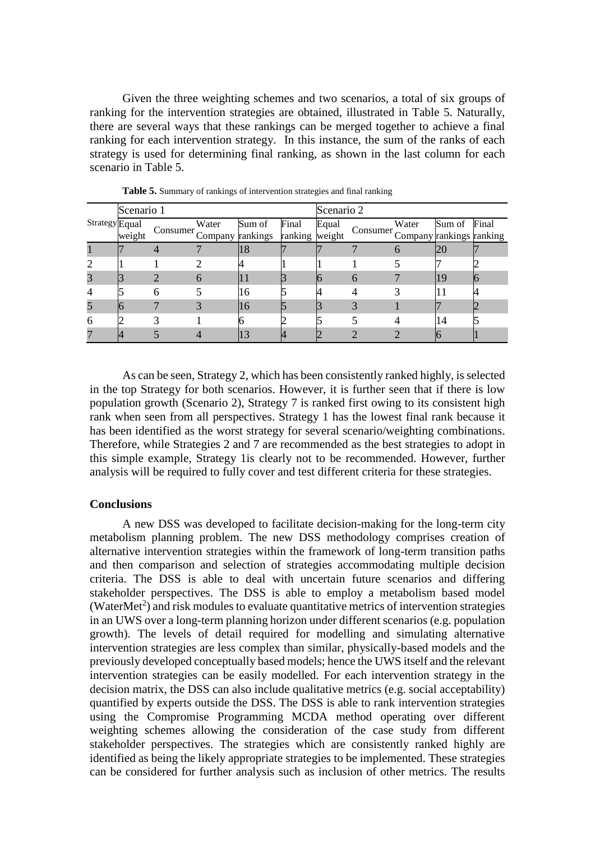Given the three weighting schemes and two scenarios, a total of six groups of ranking for the intervention strategies are obtained, illustrated in Table 5. Naturally, there are several ways that these rankings can be merged together to achieve a final ranking for each intervention strategy. In this instance, the sum of the ranks of each strategy is used for determining final ranking, as shown in the last column for each scenario in Table 5.

| <b>Strategy</b> Equal | Scenario 1 |   |                                                   |        | Scenario 2 |       |                                   |       |        |       |  |
|-----------------------|------------|---|---------------------------------------------------|--------|------------|-------|-----------------------------------|-------|--------|-------|--|
|                       | weight     |   | Water<br>Consumer Company rankings ranking weight | Sum of | Final      | Equal | Consumer Company rankings ranking | Water | Sum of | Final |  |
|                       |            |   |                                                   | 18     |            |       |                                   |       |        |       |  |
| $\overline{2}$        |            |   |                                                   |        |            |       |                                   |       |        |       |  |
| 3                     |            |   | h                                                 |        |            |       | $\mathfrak b$                     |       | 19     |       |  |
| $\overline{4}$        |            | n |                                                   | 16     |            |       |                                   |       | 1 I    |       |  |
| 5                     |            |   |                                                   | 16     |            |       |                                   |       |        |       |  |
| 6                     |            |   |                                                   |        |            |       |                                   |       | 14     |       |  |
|                       |            |   |                                                   |        |            |       |                                   |       |        |       |  |

**Table 5.** Summary of rankings of intervention strategies and final ranking

As can be seen, Strategy 2, which has been consistently ranked highly, is selected in the top Strategy for both scenarios. However, it is further seen that if there is low population growth (Scenario 2), Strategy 7 is ranked first owing to its consistent high rank when seen from all perspectives. Strategy 1 has the lowest final rank because it has been identified as the worst strategy for several scenario/weighting combinations. Therefore, while Strategies 2 and 7 are recommended as the best strategies to adopt in this simple example, Strategy 1is clearly not to be recommended. However, further analysis will be required to fully cover and test different criteria for these strategies.

#### **Conclusions**

A new DSS was developed to facilitate decision-making for the long-term city metabolism planning problem. The new DSS methodology comprises creation of alternative intervention strategies within the framework of long-term transition paths and then comparison and selection of strategies accommodating multiple decision criteria. The DSS is able to deal with uncertain future scenarios and differing stakeholder perspectives. The DSS is able to employ a metabolism based model (WaterMet<sup>2</sup>) and risk modules to evaluate quantitative metrics of intervention strategies in an UWS over a long-term planning horizon under different scenarios (e.g. population growth). The levels of detail required for modelling and simulating alternative intervention strategies are less complex than similar, physically-based models and the previously developed conceptually based models; hence the UWS itself and the relevant intervention strategies can be easily modelled. For each intervention strategy in the decision matrix, the DSS can also include qualitative metrics (e.g. social acceptability) quantified by experts outside the DSS. The DSS is able to rank intervention strategies using the Compromise Programming MCDA method operating over different weighting schemes allowing the consideration of the case study from different stakeholder perspectives. The strategies which are consistently ranked highly are identified as being the likely appropriate strategies to be implemented. These strategies can be considered for further analysis such as inclusion of other metrics. The results